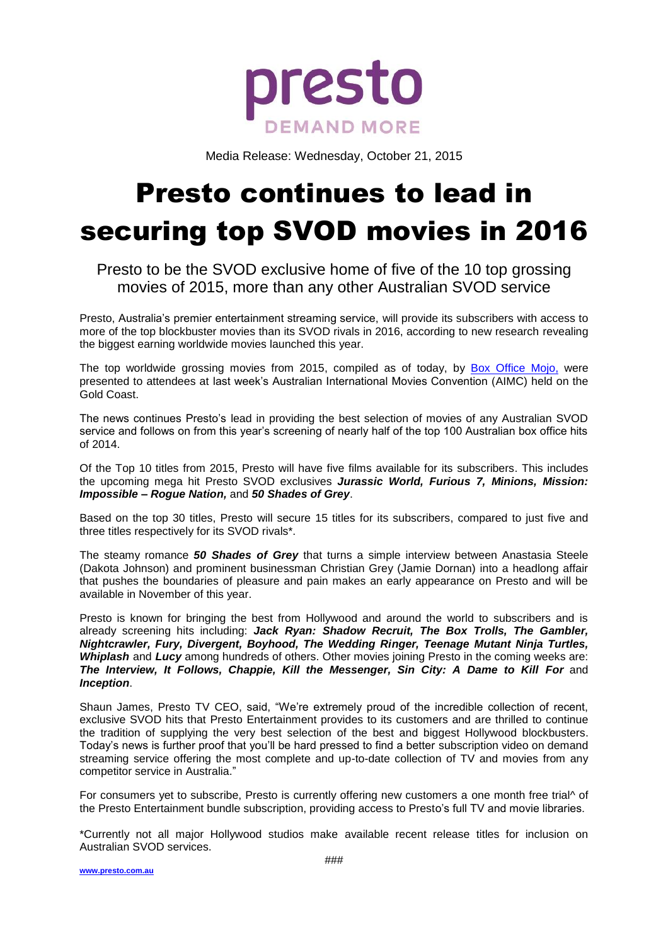

Media Release: Wednesday, October 21, 2015

## Presto continues to lead in securing top SVOD movies in 2016

Presto to be the SVOD exclusive home of five of the 10 top grossing movies of 2015, more than any other Australian SVOD service

Presto, Australia's premier entertainment streaming service, will provide its subscribers with access to more of the top blockbuster movies than its SVOD rivals in 2016, according to new research revealing the biggest earning worldwide movies launched this year.

The top worldwide grossing movies from 2015, compiled as of today, by [Box Office Mojo,](http://www.boxofficemojo.com/yearly/chart/?view2=worldwide&yr=2015) were presented to attendees at last week's Australian International Movies Convention (AIMC) held on the Gold Coast.

The news continues Presto's lead in providing the best selection of movies of any Australian SVOD service and follows on from this year's screening of nearly half of the top 100 Australian box office hits of 2014.

Of the Top 10 titles from 2015, Presto will have five films available for its subscribers. This includes the upcoming mega hit Presto SVOD exclusives *Jurassic World, Furious 7, Minions, Mission: Impossible – Rogue Nation,* and *50 Shades of Grey*.

Based on the top 30 titles, Presto will secure 15 titles for its subscribers, compared to just five and three titles respectively for its SVOD rivals\*.

The steamy romance *50 Shades of Grey* that turns a simple interview between Anastasia Steele (Dakota Johnson) and prominent businessman Christian Grey (Jamie Dornan) into a headlong affair that pushes the boundaries of pleasure and pain makes an early appearance on Presto and will be available in November of this year.

Presto is known for bringing the best from Hollywood and around the world to subscribers and is already screening hits including: *Jack Ryan: Shadow Recruit, The Box Trolls, The Gambler, Nightcrawler, Fury, Divergent, Boyhood, The Wedding Ringer, Teenage Mutant Ninja Turtles, Whiplash* and *Lucy* among hundreds of others. Other movies joining Presto in the coming weeks are: *The Interview, It Follows, Chappie, Kill the Messenger, Sin City: A Dame to Kill For* and *Inception*.

Shaun James, Presto TV CEO, said, "We're extremely proud of the incredible collection of recent, exclusive SVOD hits that Presto Entertainment provides to its customers and are thrilled to continue the tradition of supplying the very best selection of the best and biggest Hollywood blockbusters. Today's news is further proof that you'll be hard pressed to find a better subscription video on demand streaming service offering the most complete and up-to-date collection of TV and movies from any competitor service in Australia."

For consumers yet to subscribe, Presto is currently offering new customers a one month free trial<sup>A</sup> of the Presto Entertainment bundle subscription, providing access to Presto's full TV and movie libraries.

\*Currently not all major Hollywood studios make available recent release titles for inclusion on Australian SVOD services.

**[www.presto.com.au](http://www.presto.com.au/)**